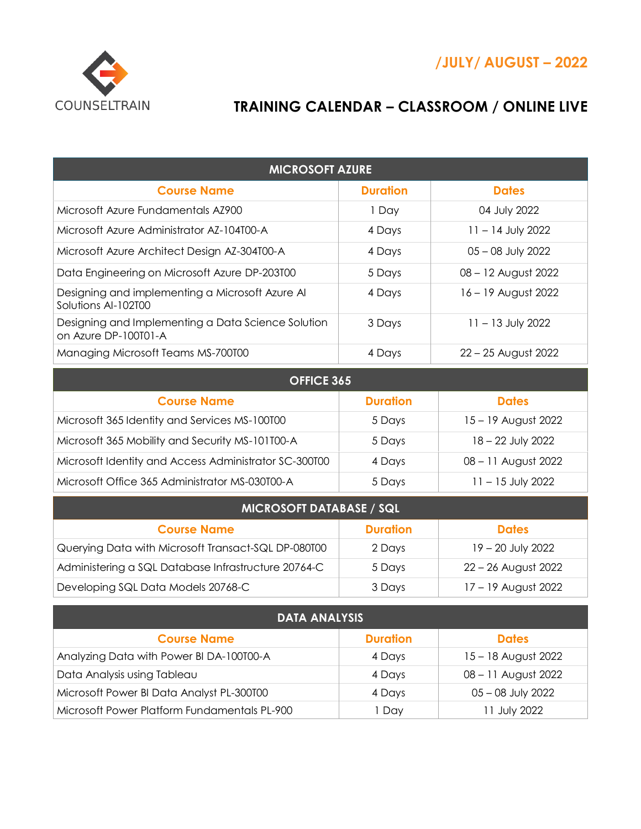

## **TRAINING CALENDAR – CLASSROOM / ONLINE LIVE**

| <b>MICROSOFT AZURE</b>                                                     |                 |                     |  |
|----------------------------------------------------------------------------|-----------------|---------------------|--|
| <b>Course Name</b>                                                         | <b>Duration</b> | <b>Dates</b>        |  |
| Microsoft Azure Fundamentals AZ900                                         | 1 Day           | 04 July 2022        |  |
| Microsoft Azure Administrator AZ-104T00-A                                  | 4 Days          | $11 - 14$ July 2022 |  |
| Microsoft Azure Architect Design AZ-304T00-A                               | 4 Days          | 05 - 08 July 2022   |  |
| Data Engineering on Microsoft Azure DP-203T00                              | 5 Days          | 08 - 12 August 2022 |  |
| Designing and implementing a Microsoft Azure Al<br>Solutions Al-102T00     | 4 Days          | 16 - 19 August 2022 |  |
| Designing and Implementing a Data Science Solution<br>on Azure DP-100T01-A | 3 Days          | $11 - 13$ July 2022 |  |
| Managing Microsoft Teams MS-700T00                                         | 4 Days          | 22 - 25 August 2022 |  |
| OFFICE 365                                                                 |                 |                     |  |
|                                                                            |                 |                     |  |
| <b>Course Name</b>                                                         | <b>Duration</b> | <b>Dates</b>        |  |
| Microsoft 365 Identity and Services MS-100T00                              | 5 Days          | 15 - 19 August 2022 |  |
| Microsoft 365 Mobility and Security MS-101T00-A                            | 5 Days          | 18 - 22 July 2022   |  |
| Microsoft Identity and Access Administrator SC-300T00                      | 4 Days          | 08 - 11 August 2022 |  |
| Microsoft Office 365 Administrator MS-030T00-A                             | 5 Days          | $11 - 15$ July 2022 |  |
| <b>MICROSOFT DATABASE / SQL</b>                                            |                 |                     |  |
| <b>Course Name</b>                                                         | <b>Duration</b> | <b>Dates</b>        |  |
| Querying Data with Microsoft Transact-SQL DP-080T00                        | 2 Days          | 19 - 20 July 2022   |  |

| <b>DATA ANALYSIS</b>                         |                 |                     |
|----------------------------------------------|-----------------|---------------------|
| <b>Course Name</b>                           | <b>Duration</b> | <b>Dates</b>        |
| Analyzing Data with Power BI DA-100T00-A     | 4 Days          | 15 - 18 August 2022 |
| Data Analysis using Tableau                  | 4 Days          | 08 - 11 August 2022 |
| Microsoft Power BI Data Analyst PL-300T00    | 4 Days          | $05 - 08$ July 2022 |
| Microsoft Power Platform Fundamentals PL-900 | Dav             | 11 July 2022        |

Developing SQL Data Models 20768-C 3 Days 17 – 19 August 2022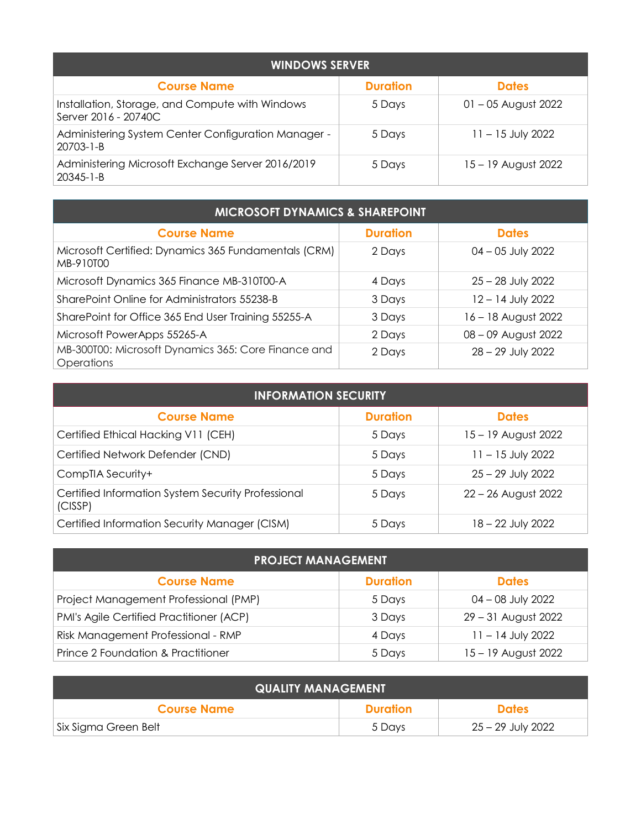| <b>WINDOWS SERVER</b>                                                   |                 |                       |  |
|-------------------------------------------------------------------------|-----------------|-----------------------|--|
| <b>Course Name</b>                                                      | <b>Duration</b> | <b>Dates</b>          |  |
| Installation, Storage, and Compute with Windows<br>Server 2016 - 20740C | 5 Days          | $01 - 05$ August 2022 |  |
| Administering System Center Configuration Manager -<br>$20703 - 1 - B$  | 5 Days          | $11 - 15$ July 2022   |  |
| Administering Microsoft Exchange Server 2016/2019<br>$20345 - 1 - B$    | 5 Days          | 15 – 19 August 2022   |  |

| <b>MICROSOFT DYNAMICS &amp; SHAREPOINT</b>                        |                 |                     |
|-------------------------------------------------------------------|-----------------|---------------------|
| <b>Course Name</b>                                                | <b>Duration</b> | <b>Dates</b>        |
| Microsoft Certified: Dynamics 365 Fundamentals (CRM)<br>MB-910T00 | 2 Days          | $04 - 05$ July 2022 |
| Microsoft Dynamics 365 Finance MB-310T00-A                        | 4 Days          | $25 - 28$ July 2022 |
| SharePoint Online for Administrators 55238-B                      | 3 Days          | 12 - 14 July 2022   |
| SharePoint for Office 365 End User Training 55255-A               | 3 Days          | 16 – 18 August 2022 |
| Microsoft PowerApps 55265-A                                       | 2 Days          | 08 - 09 August 2022 |
| MB-300T00: Microsoft Dynamics 365: Core Finance and<br>Operations | 2 Days          | 28 - 29 July 2022   |

| <b>INFORMATION SECURITY</b>                                   |                 |                     |
|---------------------------------------------------------------|-----------------|---------------------|
| <b>Course Name</b>                                            | <b>Duration</b> | <b>Dates</b>        |
| Certified Ethical Hacking V11 (CEH)                           | 5 Days          | 15 – 19 August 2022 |
| Certified Network Defender (CND)                              | 5 Days          | $11 - 15$ July 2022 |
| CompTIA Security+                                             | 5 Days          | $25 - 29$ July 2022 |
| Certified Information System Security Professional<br>(CISSP) | 5 Days          | 22 - 26 August 2022 |
| Certified Information Security Manager (CISM)                 | 5 Days          | 18 - 22 July 2022   |

| <b>PROJECT MANAGEMENT</b>                |                 |                     |
|------------------------------------------|-----------------|---------------------|
| <b>Course Name</b>                       | <b>Duration</b> | <b>Dates</b>        |
| Project Management Professional (PMP)    | 5 Days          | 04 – 08 July 2022   |
| PMI's Agile Certified Practitioner (ACP) | 3 Days          | 29 - 31 August 2022 |
| Risk Management Professional - RMP       | 4 Days          | $11 - 14$ July 2022 |
| Prince 2 Foundation & Practitioner       | 5 Days          | 15 - 19 August 2022 |

| <b>QUALITY MANAGEMENT</b> |                 |                   |
|---------------------------|-----------------|-------------------|
| <b>Course Name</b>        | <b>Duration</b> | <b>Dates</b>      |
| Six Sigma Green Belt      | 5 Davs          | 25 – 29 July 2022 |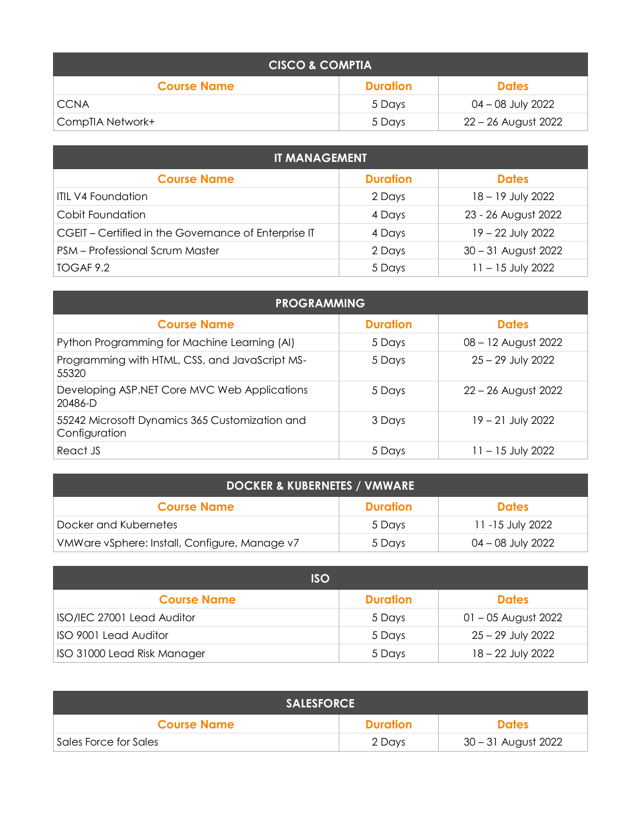| <b>CISCO &amp; COMPTIA</b> |                 |                     |
|----------------------------|-----------------|---------------------|
| <b>Course Name</b>         | <b>Duration</b> | <b>Dates</b>        |
| <b>CCNA</b>                | 5 Davs          | 04 – 08 July 2022   |
| CompTIA Network+           | 5 Davs          | 22 – 26 August 2022 |

| <b>IT MANAGEMENT</b>                                 |                 |                     |
|------------------------------------------------------|-----------------|---------------------|
| <b>Course Name</b>                                   | <b>Duration</b> | <b>Dates</b>        |
| <b>ITIL V4 Foundation</b>                            | 2 Days          | 18 - 19 July 2022   |
| Cobit Foundation                                     | 4 Days          | 23 - 26 August 2022 |
| CGEIT - Certified in the Governance of Enterprise IT | 4 Days          | 19 - 22 July 2022   |
| PSM - Professional Scrum Master                      | 2 Days          | 30 - 31 August 2022 |
| TOGAF 9.2                                            | 5 Days          | $11 - 15$ July 2022 |

| <b>PROGRAMMING</b>                                              |                 |                     |
|-----------------------------------------------------------------|-----------------|---------------------|
| <b>Course Name</b>                                              | <b>Duration</b> | <b>Dates</b>        |
| Python Programming for Machine Learning (AI)                    | 5 Days          | 08 - 12 August 2022 |
| Programming with HTML, CSS, and JavaScript MS-<br>55320         | 5 Days          | $25 - 29$ July 2022 |
| Developing ASP.NET Core MVC Web Applications<br>$20486 - D$     | 5 Days          | 22 – 26 August 2022 |
| 55242 Microsoft Dynamics 365 Customization and<br>Configuration | 3 Days          | $19 - 21$ July 2022 |
| React JS                                                        | 5 Days          | $11 - 15$ July 2022 |

| <b>DOCKER &amp; KUBERNETES / VMWARE</b>       |                 |                   |
|-----------------------------------------------|-----------------|-------------------|
| <b>Course Name</b>                            | <b>Duration</b> | <b>Dates</b>      |
| Docker and Kubernetes                         | 5 Days          | 11 -15 July 2022  |
| VMWare vSphere: Install, Configure, Manage v7 | 5 Days          | 04 – 08 July 2022 |

| <b>ISO</b>                  |                 |                       |
|-----------------------------|-----------------|-----------------------|
| <b>Course Name</b>          | <b>Duration</b> | <b>Dates</b>          |
| ISO/IEC 27001 Lead Auditor  | 5 Days          | $01 - 05$ August 2022 |
| ISO 9001 Lead Auditor       | 5 Days          | $25 - 29$ July 2022   |
| ISO 31000 Lead Risk Manager | 5 Days          | 18 – 22 July 2022     |

| <b>SALESFORCE</b>     |                 |                     |
|-----------------------|-----------------|---------------------|
| <b>Course Name</b>    | <b>Duration</b> | <b>Dates</b>        |
| Sales Force for Sales | 2 Days          | 30 – 31 August 2022 |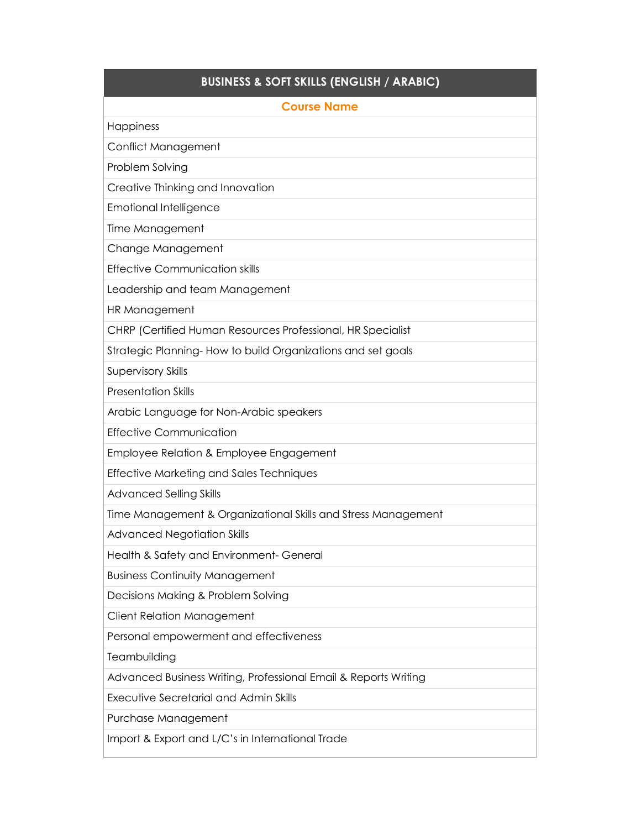## **BUSINESS & SOFT SKILLS (ENGLISH / ARABIC)**

| <b>Course Name</b>                                              |
|-----------------------------------------------------------------|
| Happiness                                                       |
| Conflict Management                                             |
| Problem Solving                                                 |
| Creative Thinking and Innovation                                |
| <b>Emotional Intelligence</b>                                   |
| Time Management                                                 |
| Change Management                                               |
| <b>Effective Communication skills</b>                           |
| Leadership and team Management                                  |
| HR Management                                                   |
| CHRP (Certified Human Resources Professional, HR Specialist     |
| Strategic Planning-How to build Organizations and set goals     |
| <b>Supervisory Skills</b>                                       |
| <b>Presentation Skills</b>                                      |
| Arabic Language for Non-Arabic speakers                         |
| <b>Effective Communication</b>                                  |
| Employee Relation & Employee Engagement                         |
| <b>Effective Marketing and Sales Techniques</b>                 |
| <b>Advanced Selling Skills</b>                                  |
| Time Management & Organizational Skills and Stress Management   |
| <b>Advanced Negotiation Skills</b>                              |
| Health & Safety and Environment- General                        |
| <b>Business Continuity Management</b>                           |
| Decisions Making & Problem Solving                              |
| Client Relation Management                                      |
| Personal empowerment and effectiveness                          |
| Teambuilding                                                    |
| Advanced Business Writing, Professional Email & Reports Writing |
| <b>Executive Secretarial and Admin Skills</b>                   |
| Purchase Management                                             |

Import & Export and L/C's in International Trade